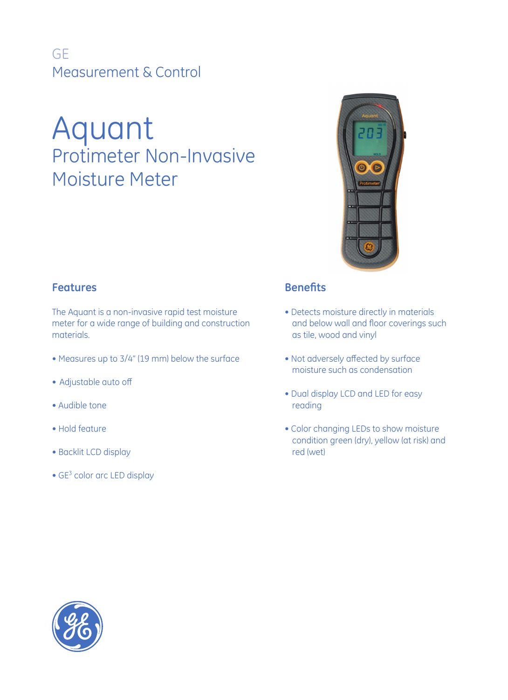## GE Measurement & Control

# Aquant Protimeter Non-Invasive Moisture Meter



#### **Features**

The Aquant is a non-invasive rapid test moisture meter for a wide range of building and construction materials.

- Measures up to 3/4" (19 mm) below the surface
- Adjustable auto off
- Audible tone
- Hold feature
- Backlit LCD display
- $\bullet$  GE<sup>3</sup> color arc LED display

#### **Benefits**

- Detects moisture directly in materials and below wall and floor coverings such as tile, wood and vinyl
- Not adversely affected by surface moisture such as condensation
- Dual display LCD and LED for easy reading
- Color changing LEDs to show moisture condition green (dry), yellow (at risk) and red (wet)